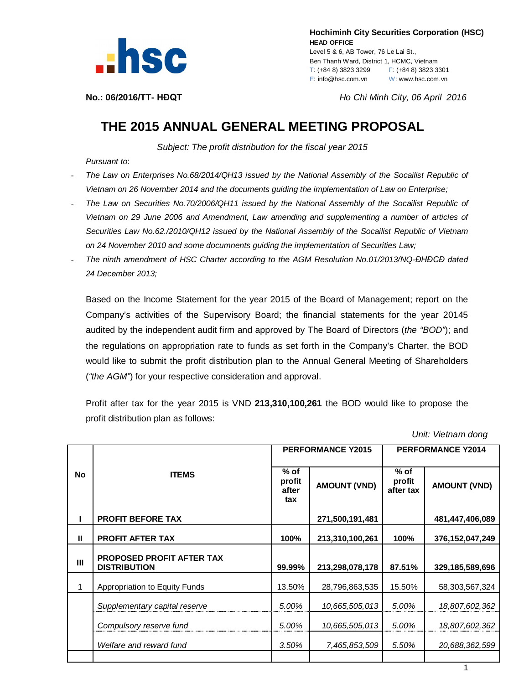

 **Hochiminh City Securities Corporation (HSC) HEAD OFFICE** Level 5 & 6, AB Tower, 76 Le Lai St., Ben Thanh Ward, District 1, HCMC, Vietnam T: (+84 8) 3823 3299 F: (+84 8) 3823 3301 E: info@hsc.com.vn W: www.hsc.com.vn

**No.: 06/2016/TT- HĐQT** *Ho Chi Minh City, 06 April 2016*

## **THE 2015 ANNUAL GENERAL MEETING PROPOSAL**

*Subject: The profit distribution for the fiscal year 2015*

*Pursuant to*:

- *The Law on Enterprises No.68/2014/QH13 issued by the National Assembly of the Socailist Republic of Vietnam on 26 November 2014 and the documents guiding the implementation of Law on Enterprise;*
- *The Law on Securities No.70/2006/QH11 issued by the National Assembly of the Socailist Republic of Vietnam on 29 June 2006 and Amendment, Law amending and supplementing a number of articles of Securities Law No.62./2010/QH12 issued by the National Assembly of the Socailist Republic of Vietnam on 24 November 2010 and some documnents guiding the implementation of Securities Law;*
- *The ninth amendment of HSC Charter according to the AGM Resolution No.01/2013/NQ-ĐHĐCĐ dated 24 December 2013;*

Based on the Income Statement for the year 2015 of the Board of Management; report on the Company's activities of the Supervisory Board; the financial statements for the year 20145 audited by the independent audit firm and approved by The Board of Directors (*the "BOD"*); and the regulations on appropriation rate to funds as set forth in the Company's Charter, the BOD would like to submit the profit distribution plan to the Annual General Meeting of Shareholders (*"the AGM"*) for your respective consideration and approval.

Profit after tax for the year 2015 is VND **213,310,100,261** the BOD would like to propose the profit distribution plan as follows:

 *Unit: Vietnam dong*

|           | <b>ITEMS</b>                                            | <b>PERFORMANCE Y2015</b>         |                     | <b>PERFORMANCE Y2014</b>      |                     |
|-----------|---------------------------------------------------------|----------------------------------|---------------------|-------------------------------|---------------------|
| <b>No</b> |                                                         | $%$ of<br>profit<br>after<br>tax | <b>AMOUNT (VND)</b> | $%$ of<br>profit<br>after tax | <b>AMOUNT (VND)</b> |
|           | <b>PROFIT BEFORE TAX</b>                                |                                  | 271,500,191,481     |                               | 481,447,406,089     |
| Ш         | <b>PROFIT AFTER TAX</b>                                 | 100%                             | 213,310,100,261     | 100%                          | 376,152,047,249     |
| Ш         | <b>PROPOSED PROFIT AFTER TAX</b><br><b>DISTRIBUTION</b> | 99.99%                           | 213,298,078,178     | 87.51%                        | 329,185,589,696     |
|           | Appropriation to Equity Funds                           | 13.50%                           | 28,796,863,535      | 15.50%                        | 58,303,567,324      |
|           | Supplementary capital reserve                           | 5.00%                            | 10,665,505,013      | 5.00%                         | 18,807,602,362      |
|           | Compulsory reserve fund                                 | 5.00%                            | 10,665,505,013      | 5.00%                         | 18,807,602,362      |
|           | Welfare and reward fund                                 | 3.50%                            | 7,465,853,509       | 5.50%                         | 20,688,362,599      |
|           |                                                         |                                  |                     |                               |                     |